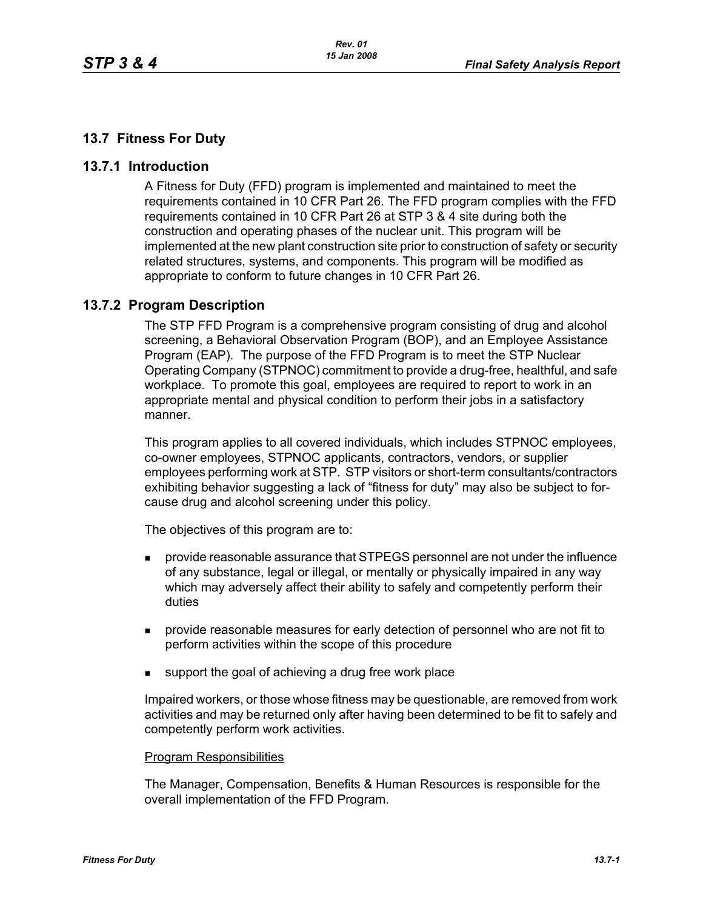# **13.7 Fitness For Duty**

## **13.7.1 Introduction**

A Fitness for Duty (FFD) program is implemented and maintained to meet the requirements contained in 10 CFR Part 26. The FFD program complies with the FFD requirements contained in 10 CFR Part 26 at STP 3 & 4 site during both the construction and operating phases of the nuclear unit. This program will be implemented at the new plant construction site prior to construction of safety or security related structures, systems, and components. This program will be modified as appropriate to conform to future changes in 10 CFR Part 26.

# **13.7.2 Program Description**

The STP FFD Program is a comprehensive program consisting of drug and alcohol screening, a Behavioral Observation Program (BOP), and an Employee Assistance Program (EAP). The purpose of the FFD Program is to meet the STP Nuclear Operating Company (STPNOC) commitment to provide a drug-free, healthful, and safe workplace. To promote this goal, employees are required to report to work in an appropriate mental and physical condition to perform their jobs in a satisfactory manner.

This program applies to all covered individuals, which includes STPNOC employees, co-owner employees, STPNOC applicants, contractors, vendors, or supplier employees performing work at STP. STP visitors or short-term consultants/contractors exhibiting behavior suggesting a lack of "fitness for duty" may also be subject to forcause drug and alcohol screening under this policy.

The objectives of this program are to:

- provide reasonable assurance that STPEGS personnel are not under the influence of any substance, legal or illegal, or mentally or physically impaired in any way which may adversely affect their ability to safely and competently perform their duties
- provide reasonable measures for early detection of personnel who are not fit to perform activities within the scope of this procedure
- support the goal of achieving a drug free work place

Impaired workers, or those whose fitness may be questionable, are removed from work activities and may be returned only after having been determined to be fit to safely and competently perform work activities.

### Program Responsibilities

The Manager, Compensation, Benefits & Human Resources is responsible for the overall implementation of the FFD Program.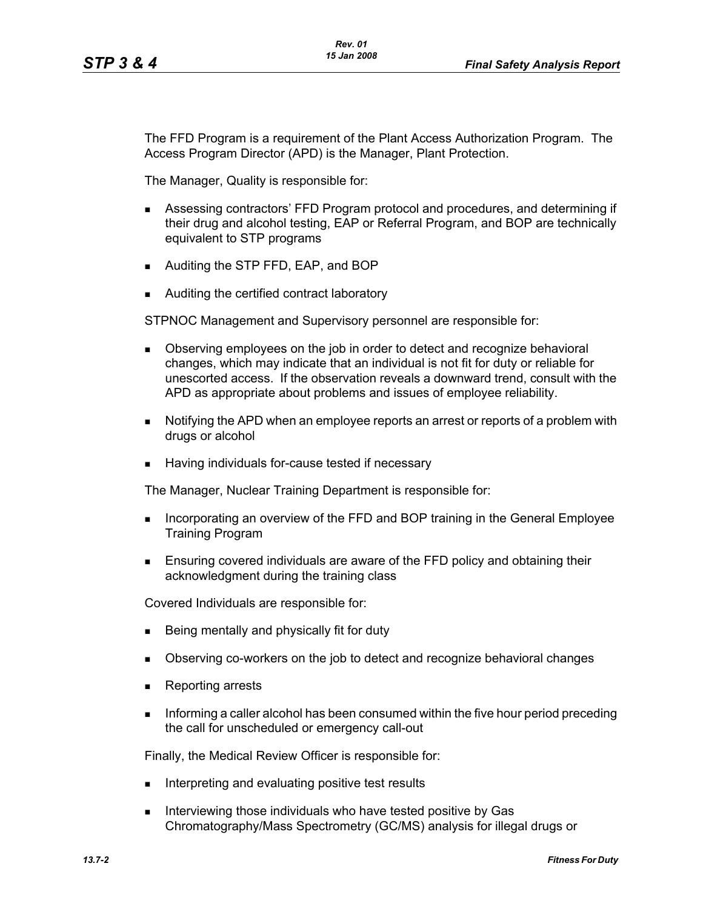The FFD Program is a requirement of the Plant Access Authorization Program. The Access Program Director (APD) is the Manager, Plant Protection.

The Manager, Quality is responsible for:

- Assessing contractors' FFD Program protocol and procedures, and determining if their drug and alcohol testing, EAP or Referral Program, and BOP are technically equivalent to STP programs
- **Auditing the STP FFD, EAP, and BOP**
- Auditing the certified contract laboratory

STPNOC Management and Supervisory personnel are responsible for:

- **Depending 1** Observing employees on the job in order to detect and recognize behavioral changes, which may indicate that an individual is not fit for duty or reliable for unescorted access. If the observation reveals a downward trend, consult with the APD as appropriate about problems and issues of employee reliability.
- Notifying the APD when an employee reports an arrest or reports of a problem with drugs or alcohol
- Having individuals for-cause tested if necessary

The Manager, Nuclear Training Department is responsible for:

- **Incorporating an overview of the FFD and BOP training in the General Employee** Training Program
- **Ensuring covered individuals are aware of the FFD policy and obtaining their** acknowledgment during the training class

Covered Individuals are responsible for:

- Being mentally and physically fit for duty
- **Diangler Conserving co-workers on the job to detect and recognize behavioral changes**
- Reporting arrests
- Informing a caller alcohol has been consumed within the five hour period preceding the call for unscheduled or emergency call-out

Finally, the Medical Review Officer is responsible for:

- Interpreting and evaluating positive test results
- Interviewing those individuals who have tested positive by Gas Chromatography/Mass Spectrometry (GC/MS) analysis for illegal drugs or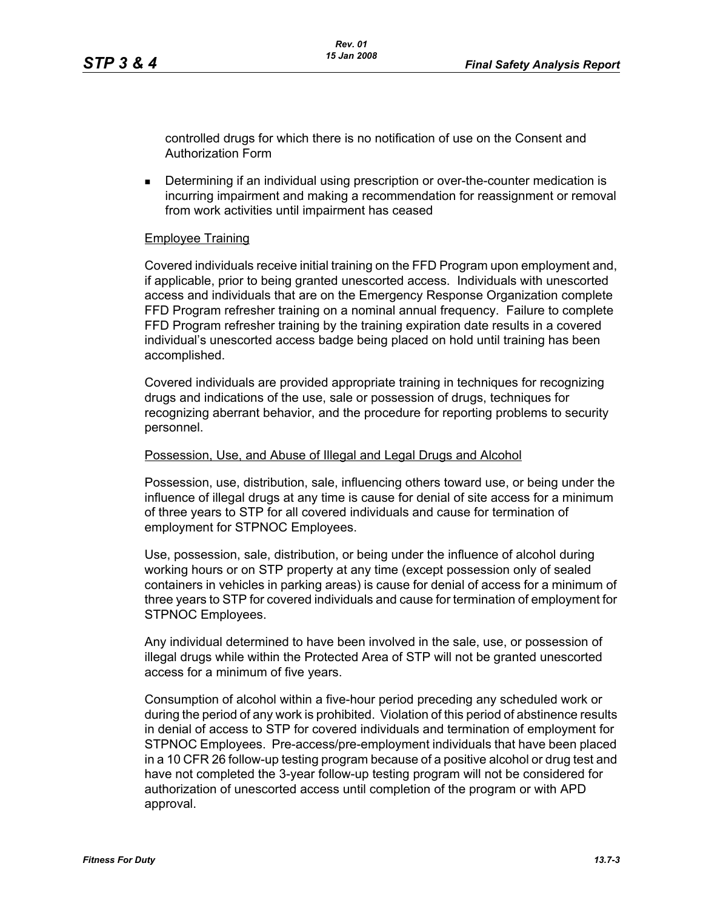controlled drugs for which there is no notification of use on the Consent and Authorization Form

 Determining if an individual using prescription or over-the-counter medication is incurring impairment and making a recommendation for reassignment or removal from work activities until impairment has ceased

### Employee Training

Covered individuals receive initial training on the FFD Program upon employment and, if applicable, prior to being granted unescorted access. Individuals with unescorted access and individuals that are on the Emergency Response Organization complete FFD Program refresher training on a nominal annual frequency. Failure to complete FFD Program refresher training by the training expiration date results in a covered individual's unescorted access badge being placed on hold until training has been accomplished.

Covered individuals are provided appropriate training in techniques for recognizing drugs and indications of the use, sale or possession of drugs, techniques for recognizing aberrant behavior, and the procedure for reporting problems to security personnel.

### Possession, Use, and Abuse of Illegal and Legal Drugs and Alcohol

Possession, use, distribution, sale, influencing others toward use, or being under the influence of illegal drugs at any time is cause for denial of site access for a minimum of three years to STP for all covered individuals and cause for termination of employment for STPNOC Employees.

Use, possession, sale, distribution, or being under the influence of alcohol during working hours or on STP property at any time (except possession only of sealed containers in vehicles in parking areas) is cause for denial of access for a minimum of three years to STP for covered individuals and cause for termination of employment for STPNOC Employees.

Any individual determined to have been involved in the sale, use, or possession of illegal drugs while within the Protected Area of STP will not be granted unescorted access for a minimum of five years.

Consumption of alcohol within a five-hour period preceding any scheduled work or during the period of any work is prohibited. Violation of this period of abstinence results in denial of access to STP for covered individuals and termination of employment for STPNOC Employees. Pre-access/pre-employment individuals that have been placed in a 10 CFR 26 follow-up testing program because of a positive alcohol or drug test and have not completed the 3-year follow-up testing program will not be considered for authorization of unescorted access until completion of the program or with APD approval.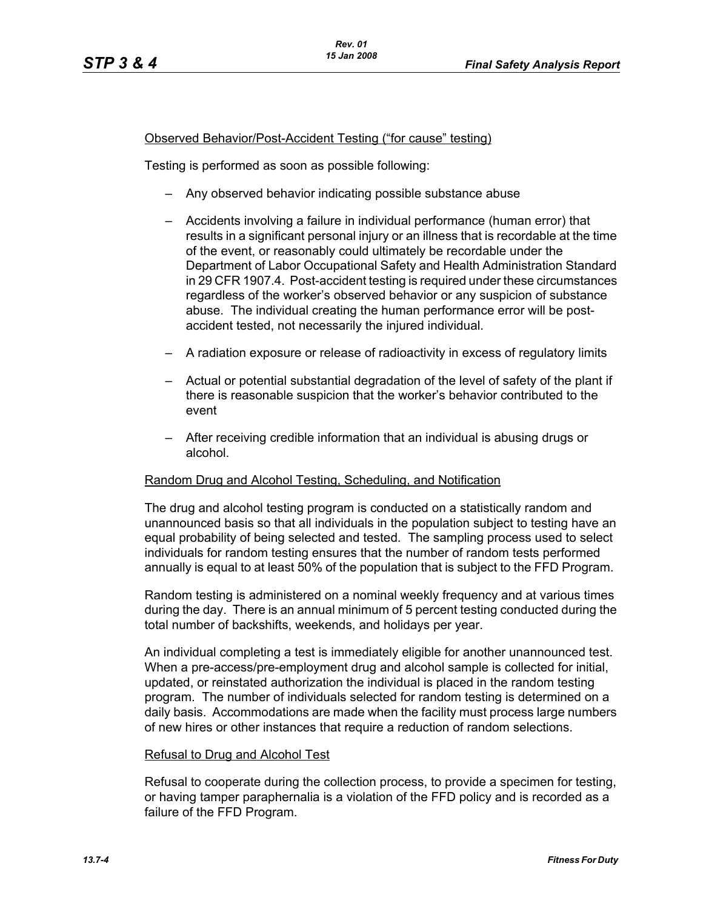## Observed Behavior/Post-Accident Testing ("for cause" testing)

Testing is performed as soon as possible following:

- Any observed behavior indicating possible substance abuse
- Accidents involving a failure in individual performance (human error) that results in a significant personal injury or an illness that is recordable at the time of the event, or reasonably could ultimately be recordable under the Department of Labor Occupational Safety and Health Administration Standard in 29 CFR 1907.4. Post-accident testing is required under these circumstances regardless of the worker's observed behavior or any suspicion of substance abuse. The individual creating the human performance error will be postaccident tested, not necessarily the injured individual.
- A radiation exposure or release of radioactivity in excess of regulatory limits
- Actual or potential substantial degradation of the level of safety of the plant if there is reasonable suspicion that the worker's behavior contributed to the event
- After receiving credible information that an individual is abusing drugs or alcohol.

### Random Drug and Alcohol Testing, Scheduling, and Notification

The drug and alcohol testing program is conducted on a statistically random and unannounced basis so that all individuals in the population subject to testing have an equal probability of being selected and tested. The sampling process used to select individuals for random testing ensures that the number of random tests performed annually is equal to at least 50% of the population that is subject to the FFD Program.

Random testing is administered on a nominal weekly frequency and at various times during the day. There is an annual minimum of 5 percent testing conducted during the total number of backshifts, weekends, and holidays per year.

An individual completing a test is immediately eligible for another unannounced test. When a pre-access/pre-employment drug and alcohol sample is collected for initial, updated, or reinstated authorization the individual is placed in the random testing program. The number of individuals selected for random testing is determined on a daily basis. Accommodations are made when the facility must process large numbers of new hires or other instances that require a reduction of random selections.

### Refusal to Drug and Alcohol Test

Refusal to cooperate during the collection process, to provide a specimen for testing, or having tamper paraphernalia is a violation of the FFD policy and is recorded as a failure of the FFD Program.